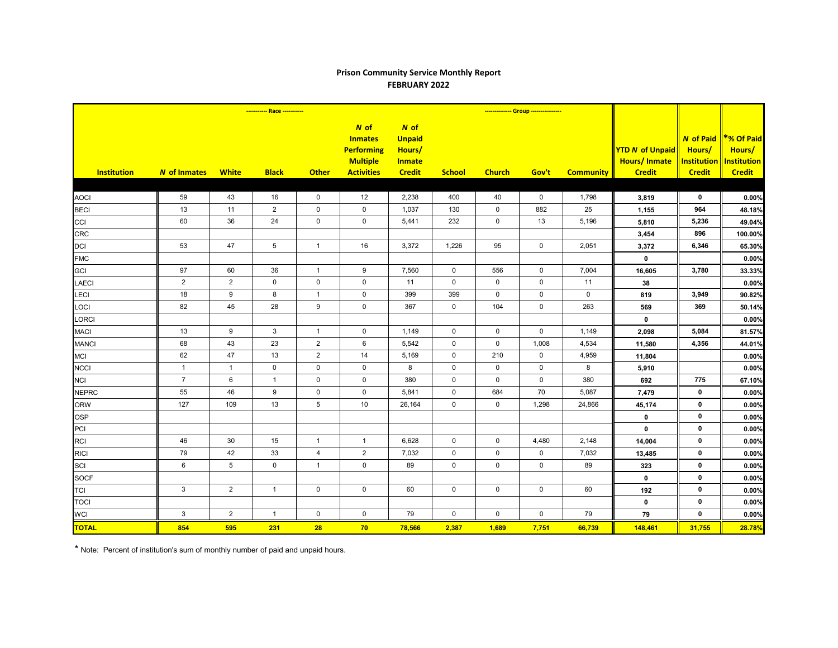## **Prison Community Service Monthly Report FEBRUARY 2022**

|                    | ----------- Race ----------- |                 |                     |                  |                                                                                       |                                                                   |               | -------------- Group ---------------- |             |                  |                                                                |                         |                                                                                       |
|--------------------|------------------------------|-----------------|---------------------|------------------|---------------------------------------------------------------------------------------|-------------------------------------------------------------------|---------------|---------------------------------------|-------------|------------------|----------------------------------------------------------------|-------------------------|---------------------------------------------------------------------------------------|
| <b>Institution</b> | N of Inmates                 | <b>White</b>    | <b>Black</b>        | <b>Other</b>     | $N$ of<br><b>Inmates</b><br><b>Performing</b><br><b>Multiple</b><br><b>Activities</b> | N of<br><b>Unpaid</b><br>Hours/<br><b>Inmate</b><br><b>Credit</b> | <b>School</b> | <b>Church</b>                         | Gov't       | <b>Community</b> | <b>YTD N of Unpaid</b><br><b>Hours/Inmate</b><br><b>Credit</b> | Hours/<br><b>Credit</b> | N of Paid   *% Of Paid<br>Hours/<br><b>Institution   Institution</b><br><b>Credit</b> |
|                    |                              |                 |                     |                  |                                                                                       |                                                                   |               |                                       |             |                  |                                                                |                         |                                                                                       |
| <b>AOCI</b>        | 59                           | 43              | 16                  | $\mathbf 0$      | 12                                                                                    | 2,238                                                             | 400           | 40                                    | 0           | 1,798            | 3,819                                                          | 0                       | 0.00%                                                                                 |
| <b>BECI</b>        | 13                           | 11              | $\overline{2}$      | $\pmb{0}$        | $\pmb{0}$                                                                             | 1,037                                                             | 130           | $\mathbf 0$                           | 882         | 25               | 1,155                                                          | 964                     | 48.18%                                                                                |
| CCI                | 60                           | 36              | 24                  | $\mathbf 0$      | $\mathbf 0$                                                                           | 5,441                                                             | 232           | $\mathbf 0$                           | 13          | 5,196            | 5,810                                                          | 5,236                   | 49.04%                                                                                |
| <b>CRC</b>         |                              |                 |                     |                  |                                                                                       |                                                                   |               |                                       |             |                  | 3,454                                                          | 896                     | 100.00%                                                                               |
| DCI                | 53                           | 47              | $5\overline{)}$     | $\mathbf{1}$     | 16                                                                                    | 3,372                                                             | 1,226         | 95                                    | $\mathbf 0$ | 2,051            | 3,372                                                          | 6,346                   | 65.30%                                                                                |
| <b>FMC</b>         |                              |                 |                     |                  |                                                                                       |                                                                   |               |                                       |             |                  | $\mathbf 0$                                                    |                         | 0.00%                                                                                 |
| GCI                | 97                           | 60              | 36                  | $\mathbf{1}$     | $\boldsymbol{9}$                                                                      | 7,560                                                             | $\mathsf 0$   | 556                                   | $\pmb{0}$   | 7,004            | 16,605                                                         | 3,780                   | 33.33%                                                                                |
| <b>LAECI</b>       | $\overline{2}$               | 2               | $\mathbf 0$         | $\pmb{0}$        | $\mathbf 0$                                                                           | 11                                                                | $\Omega$      | $\mathbf 0$                           | $\mathbf 0$ | 11               | 38                                                             |                         | 0.00%                                                                                 |
| LECI               | 18                           | 9               | 8                   | $\mathbf{1}$     | $\pmb{0}$                                                                             | 399                                                               | 399           | $\mathbf 0$                           | $\mathbf 0$ | $\mathbf 0$      | 819                                                            | 3,949                   | 90.82%                                                                                |
| LOCI               | 82                           | 45              | 28                  | $\boldsymbol{9}$ | $\pmb{0}$                                                                             | 367                                                               | $\mathbf 0$   | 104                                   | $\pmb{0}$   | 263              | 569                                                            | 369                     | 50.14%                                                                                |
| <b>LORCI</b>       |                              |                 |                     |                  |                                                                                       |                                                                   |               |                                       |             |                  | $\mathbf 0$                                                    |                         | 0.00%                                                                                 |
| <b>MACI</b>        | 13                           | 9               | $\mathbf{3}$        | $\overline{1}$   | $\mathbf 0$                                                                           | 1,149                                                             | $\mathbf 0$   | $\mathbf 0$                           | $\mathbf 0$ | 1,149            | 2,098                                                          | 5,084                   | 81.57%                                                                                |
| <b>MANCI</b>       | 68                           | 43              | 23                  | $\overline{2}$   | 6                                                                                     | 5,542                                                             | $\mathbf 0$   | $\mathbf 0$                           | 1,008       | 4,534            | 11,580                                                         | 4,356                   | 44.01%                                                                                |
| <b>MCI</b>         | 62                           | 47              | 13                  | $\overline{2}$   | 14                                                                                    | 5,169                                                             | $\mathbf 0$   | 210                                   | $\mathbf 0$ | 4,959            | 11,804                                                         |                         | 0.00%                                                                                 |
| <b>NCCI</b>        | $\mathbf{1}$                 | $\mathbf{1}$    | $\mathbf 0$         | $\mathbf 0$      | $\mathbf 0$                                                                           | 8                                                                 | $\mathbf 0$   | $\mathbf 0$                           | $\mathbf 0$ | 8                | 5,910                                                          |                         | 0.00%                                                                                 |
| <b>NCI</b>         | $\overline{7}$               | $6\phantom{1}$  | $\mathbf{1}$        | $\pmb{0}$        | $\pmb{0}$                                                                             | 380                                                               | $\mathsf 0$   | $\mathsf{O}\xspace$                   | $\mathsf 0$ | 380              | 692                                                            | 775                     | 67.10%                                                                                |
| <b>NEPRC</b>       | 55                           | 46              | $\boldsymbol{9}$    | $\pmb{0}$        | $\mathsf 0$                                                                           | 5,841                                                             | $\mathbf 0$   | 684                                   | 70          | 5,087            | 7,479                                                          | $\mathbf 0$             | 0.00%                                                                                 |
| <b>ORW</b>         | 127                          | 109             | 13                  | $\sqrt{5}$       | 10                                                                                    | 26,164                                                            | $\mathbf 0$   | $\mathbf 0$                           | 1,298       | 24,866           | 45,174                                                         | $\mathbf 0$             | 0.00%                                                                                 |
| <b>OSP</b>         |                              |                 |                     |                  |                                                                                       |                                                                   |               |                                       |             |                  | $\mathbf 0$                                                    | $\mathbf 0$             | 0.00%                                                                                 |
| PCI                |                              |                 |                     |                  |                                                                                       |                                                                   |               |                                       |             |                  | $\mathbf 0$                                                    | $\mathbf 0$             | 0.00%                                                                                 |
| <b>RCI</b>         | 46                           | 30              | 15                  | $\mathbf{1}$     | $\mathbf{1}$                                                                          | 6,628                                                             | $\mathbf 0$   | $\mathbf 0$                           | 4,480       | 2,148            | 14,004                                                         | $\mathbf 0$             | 0.00%                                                                                 |
| <b>RICI</b>        | 79                           | 42              | 33                  | $\overline{4}$   | $\mathbf{2}$                                                                          | 7,032                                                             | $\mathsf 0$   | $\mathsf{O}\xspace$                   | $\pmb{0}$   | 7,032            | 13,485                                                         | $\mathbf 0$             | 0.00%                                                                                 |
| SCI                | 6                            | $5\phantom{.0}$ | $\mathsf{O}\xspace$ | $\mathbf{1}$     | $\mathbf 0$                                                                           | 89                                                                | $\mathbf 0$   | $\mathbf 0$                           | $\mathbf 0$ | 89               | 323                                                            | $\mathbf 0$             | 0.00%                                                                                 |
| <b>SOCF</b>        |                              |                 |                     |                  |                                                                                       |                                                                   |               |                                       |             |                  | $\mathbf 0$                                                    | 0                       | 0.00%                                                                                 |
| <b>TCI</b>         | $\mathbf{3}$                 | $\overline{2}$  | $\mathbf{1}$        | $\mathsf 0$      | $\pmb{0}$                                                                             | 60                                                                | $\mathsf 0$   | $\mathbf 0$                           | $\mathsf 0$ | 60               | 192                                                            | $\mathbf 0$             | 0.00%                                                                                 |
| <b>TOCI</b>        |                              |                 |                     |                  |                                                                                       |                                                                   |               |                                       |             |                  | $\mathbf 0$                                                    | $\mathbf 0$             | 0.00%                                                                                 |
| <b>WCI</b>         | $\mathbf{3}$                 | $\overline{2}$  | $\overline{1}$      | $\pmb{0}$        | $\mathbf 0$                                                                           | 79                                                                | $\mathbf 0$   | $\mathbf 0$                           | $\mathsf 0$ | 79               | 79                                                             | $\mathbf 0$             | 0.00%                                                                                 |
| <b>TOTAL</b>       | 854                          | 595             | 231                 | 28               | 70                                                                                    | 78,566                                                            | 2,387         | 1,689                                 | 7,751       | 66,739           | 148,461                                                        | 31,755                  | 28.78%                                                                                |

\* Note: Percent of institution's sum of monthly number of paid and unpaid hours.